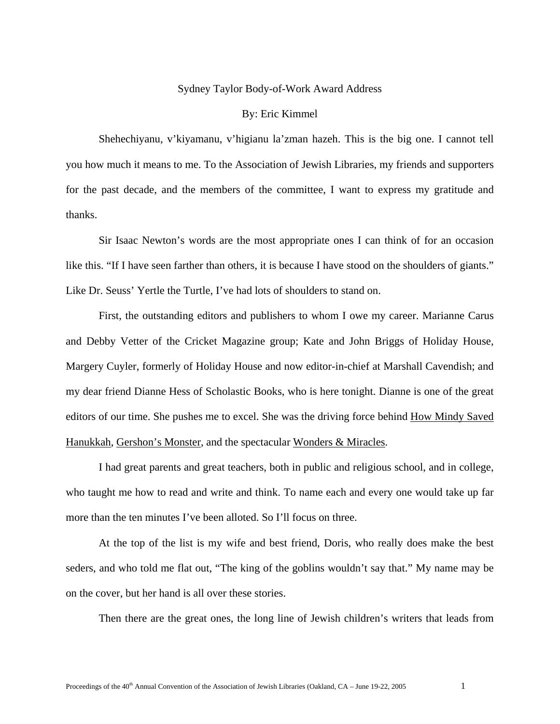## Sydney Taylor Body-of-Work Award Address

## By: Eric Kimmel

Shehechiyanu, v'kiyamanu, v'higianu la'zman hazeh. This is the big one. I cannot tell you how much it means to me. To the Association of Jewish Libraries, my friends and supporters for the past decade, and the members of the committee, I want to express my gratitude and thanks.

Sir Isaac Newton's words are the most appropriate ones I can think of for an occasion like this. "If I have seen farther than others, it is because I have stood on the shoulders of giants." Like Dr. Seuss' Yertle the Turtle, I've had lots of shoulders to stand on.

First, the outstanding editors and publishers to whom I owe my career. Marianne Carus and Debby Vetter of the Cricket Magazine group; Kate and John Briggs of Holiday House, Margery Cuyler, formerly of Holiday House and now editor-in-chief at Marshall Cavendish; and my dear friend Dianne Hess of Scholastic Books, who is here tonight. Dianne is one of the great editors of our time. She pushes me to excel. She was the driving force behind How Mindy Saved Hanukkah, Gershon's Monster, and the spectacular Wonders & Miracles.

I had great parents and great teachers, both in public and religious school, and in college, who taught me how to read and write and think. To name each and every one would take up far more than the ten minutes I've been alloted. So I'll focus on three.

At the top of the list is my wife and best friend, Doris, who really does make the best seders, and who told me flat out, "The king of the goblins wouldn't say that." My name may be on the cover, but her hand is all over these stories.

Then there are the great ones, the long line of Jewish children's writers that leads from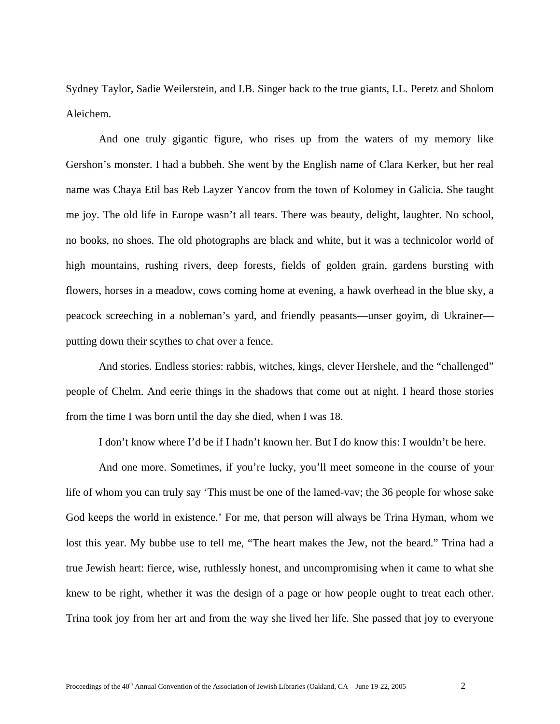Sydney Taylor, Sadie Weilerstein, and I.B. Singer back to the true giants, I.L. Peretz and Sholom Aleichem.

And one truly gigantic figure, who rises up from the waters of my memory like Gershon's monster. I had a bubbeh. She went by the English name of Clara Kerker, but her real name was Chaya Etil bas Reb Layzer Yancov from the town of Kolomey in Galicia. She taught me joy. The old life in Europe wasn't all tears. There was beauty, delight, laughter. No school, no books, no shoes. The old photographs are black and white, but it was a technicolor world of high mountains, rushing rivers, deep forests, fields of golden grain, gardens bursting with flowers, horses in a meadow, cows coming home at evening, a hawk overhead in the blue sky, a peacock screeching in a nobleman's yard, and friendly peasants—unser goyim, di Ukrainer putting down their scythes to chat over a fence.

And stories. Endless stories: rabbis, witches, kings, clever Hershele, and the "challenged" people of Chelm. And eerie things in the shadows that come out at night. I heard those stories from the time I was born until the day she died, when I was 18.

I don't know where I'd be if I hadn't known her. But I do know this: I wouldn't be here.

And one more. Sometimes, if you're lucky, you'll meet someone in the course of your life of whom you can truly say 'This must be one of the lamed-vav; the 36 people for whose sake God keeps the world in existence.' For me, that person will always be Trina Hyman, whom we lost this year. My bubbe use to tell me, "The heart makes the Jew, not the beard." Trina had a true Jewish heart: fierce, wise, ruthlessly honest, and uncompromising when it came to what she knew to be right, whether it was the design of a page or how people ought to treat each other. Trina took joy from her art and from the way she lived her life. She passed that joy to everyone